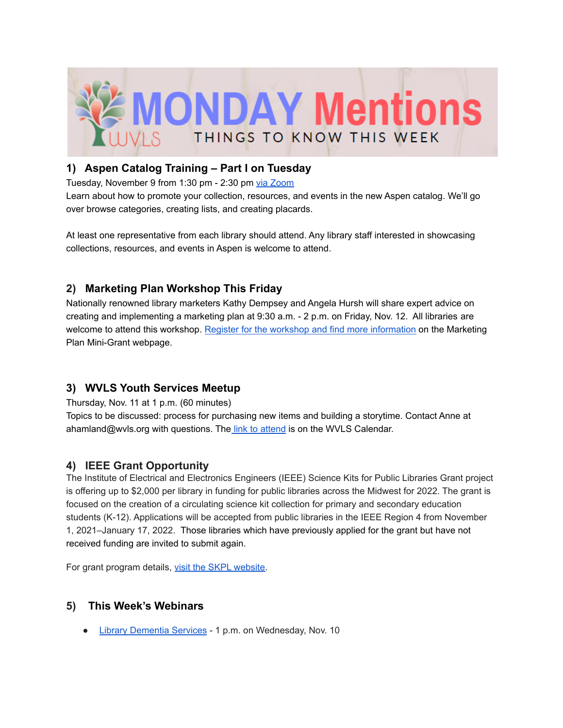

### **1) Aspen Catalog Training – Part I on Tuesday**

Tuesday, November 9 from 1:30 pm - 2:30 pm via [Zoom](https://us02web.zoom.us/j/82207974578#success)

Learn about how to promote your collection, resources, and events in the new Aspen catalog. We'll go over browse categories, creating lists, and creating placards.

At least one representative from each library should attend. Any library staff interested in showcasing collections, resources, and events in Aspen is welcome to attend.

## **2) Marketing Plan Workshop This Friday**

Nationally renowned library marketers Kathy Dempsey and Angela Hursh will share expert advice on creating and implementing a marketing plan at 9:30 a.m. - 2 p.m. on Friday, Nov. 12. All libraries are welcome to attend this workshop. Register for the workshop and find more [information](https://library-marketing.owlswp.org/) on the Marketing Plan Mini-Grant webpage.

## **3) WVLS Youth Services Meetup**

Thursday, Nov. 11 at 1 p.m. (60 minutes)

Topics to be discussed: process for purchasing new items and building a storytime. Contact Anne at ahamland[@wvls.org](mailto:jmatczak@wvls.org) with questions. The link to [attend](https://wvls.org/calendar-2/) is on the WVLS Calendar.

## **4) IEEE Grant Opportunity**

The Institute of Electrical and Electronics Engineers (IEEE) Science Kits for Public Libraries Grant project is offering up to \$2,000 per library in funding for public libraries across the Midwest for 2022. The grant is focused on the creation of a circulating science kit collection for primary and secondary education students (K-12). Applications will be accepted from public libraries in the IEEE Region 4 from November 1, 2021–January 17, 2022. Those libraries which have previously applied for the grant but have not received funding are invited to submit again.

For grant program details, visit the SKPL [website.](https://r4.ieee.org/skpl/)

## **5) This Week's Webinars**

● Library [Dementia](https://www.nicheacademy.com/library-dementia-services?utm_campaign=Webinars&utm_medium=email&_hsenc=p2ANqtz--R3l6i22bdInmBHv-dxpBW51h6wpkeFXkXiTxDaA81r2NTwxEo_OzqB_kk1VOw5WaV6rbVwzvBicnK6rlBxjCP8rBNjw&_hsmi=175214271&utm_content=154267414&utm_source=hs_email&hsCtaTracking=05e04b6b-f1a6-4656-a6ae-cb725db44883%7Cb872918f-9aef-43de-aac0-d3733105d4a9) Services - 1 p.m. on Wednesday, Nov. 10